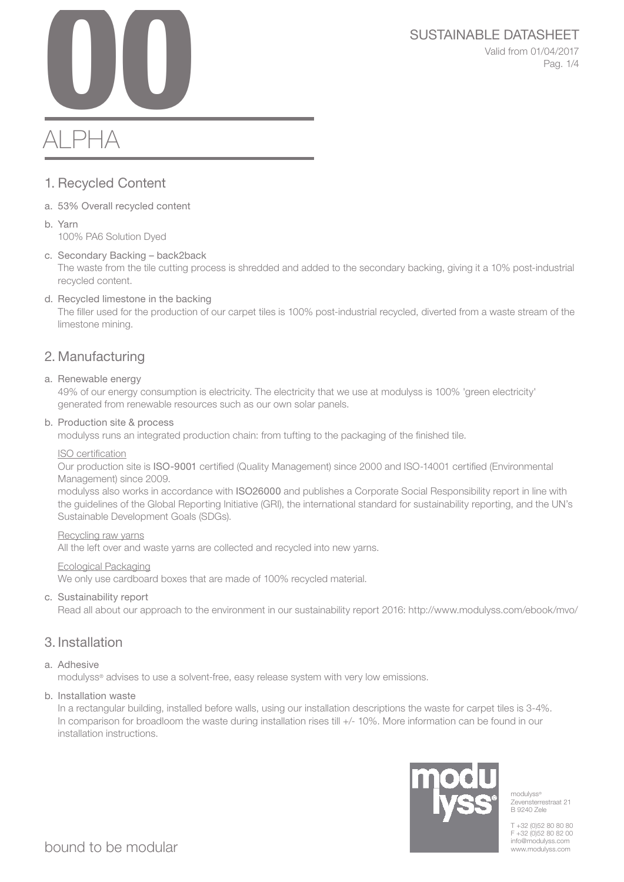SUSTAINABLE DATASHEET<br>Valid from 01/04/2017<br>Pag. 1/4 Valid from 01/04/2017 Pag. 1/4

# ALPHA

# 1. Recycled Content

- a. 53% Overall recycled content
- b. Yarn 100% PA6 Solution Dyed
- c. Secondary Backing back2back

The waste from the tile cutting process is shredded and added to the secondary backing, giving it a 10% post-industrial recycled content.

d. Recycled limestone in the backing

The filler used for the production of our carpet tiles is 100% post-industrial recycled, diverted from a waste stream of the limestone mining.

# 2. Manufacturing

a. Renewable energy

49% of our energy consumption is electricity. The electricity that we use at modulyss is 100% 'green electricity' generated from renewable resources such as our own solar panels.

b. Production site & process

modulyss runs an integrated production chain: from tufting to the packaging of the finished tile.

#### ISO certification

Our production site is ISO-9001 certified (Quality Management) since 2000 and ISO-14001 certified (Environmental Management) since 2009.

modulyss also works in accordance with ISO26000 and publishes a Corporate Social Responsibility report in line with the guidelines of the Global Reporting Initiative (GRI), the international standard for sustainability reporting, and the UN's Sustainable Development Goals (SDGs).

#### Recycling raw yarns

All the left over and waste yarns are collected and recycled into new yarns.

#### Ecological Packaging

We only use cardboard boxes that are made of 100% recycled material.

c. Sustainability report

Read all about our approach to the environment in our sustainability report 2016: http://www.modulyss.com/ebook/mvo/

# 3. Installation

### a. Adhesive

modulyss® advises to use a solvent-free, easy release system with very low emissions.

b. Installation waste

In a rectangular building, installed before walls, using our installation descriptions the waste for carpet tiles is 3-4%. In comparison for broadloom the waste during installation rises till +/- 10%. More information can be found in our installation instructions.



modulyss<sup>®</sup> Zevensterrestraat 21 B 9240 Zele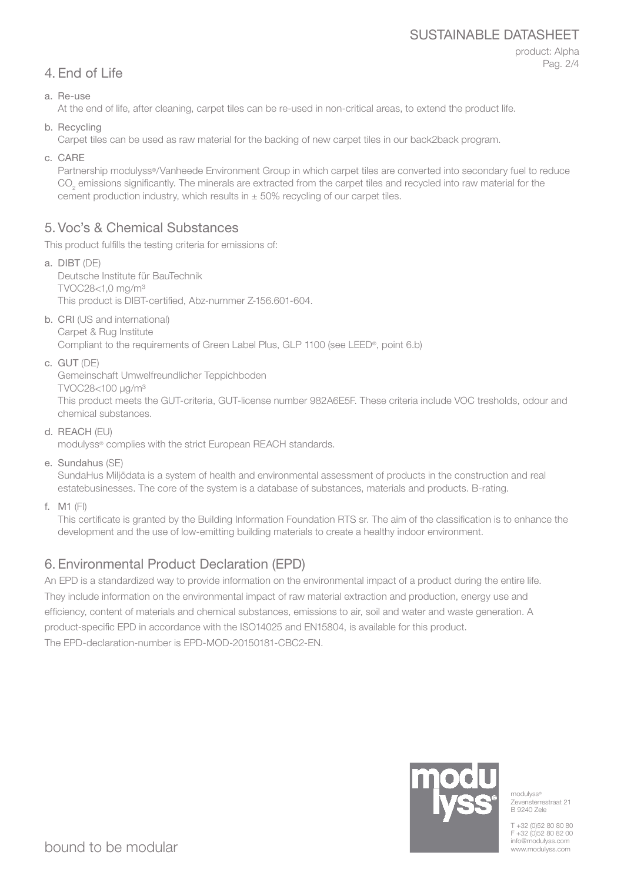# SUSTAINABLE DATASHEET

# 4. End of Life

product: Alpha Pag. 2/4

a. Re-use

At the end of life, after cleaning, carpet tiles can be re-used in non-critical areas, to extend the product life.

b. Recycling

Carpet tiles can be used as raw material for the backing of new carpet tiles in our back2back program.

c. CARE

Partnership modulyss®/Vanheede Environment Group in which carpet tiles are converted into secondary fuel to reduce  $\mathrm{CO}_2$  emissions significantly. The minerals are extracted from the carpet tiles and recycled into raw material for the cement production industry, which results in  $\pm$  50% recycling of our carpet tiles.

# 5. Voc's & Chemical Substances

This product fulfills the testing criteria for emissions of:

- a. DIBT (DE) Deutsche Institute für BauTechnik TVOC28<1,0 mg/m³ This product is DIBT-certified, Abz-nummer Z-156.601-604.
- b. CRI (US and international) Carpet & Rug Institute Compliant to the requirements of Green Label Plus, GLP 1100 (see LEED®, point 6.b)
- c. GUT (DE)

Gemeinschaft Umwelfreundlicher Teppichboden TVOC28<100 μg/m³

This product meets the GUT-criteria, GUT-license number 982A6E5F. These criteria include VOC tresholds, odour and chemical substances.

d. REACH (EU)

modulyss® complies with the strict European REACH standards.

e. Sundahus (SE)

SundaHus Miljödata is a system of health and environmental assessment of products in the construction and real estatebusinesses. The core of the system is a database of substances, materials and products. B-rating.

f. M1 (FI)

This certificate is granted by the Building Information Foundation RTS sr. The aim of the classification is to enhance the development and the use of low-emitting building materials to create a healthy indoor environment.

# 6. Environmental Product Declaration (EPD)

An EPD is a standardized way to provide information on the environmental impact of a product during the entire life. They include information on the environmental impact of raw material extraction and production, energy use and efficiency, content of materials and chemical substances, emissions to air, soil and water and waste generation. A product-specific EPD in accordance with the ISO14025 and EN15804, is available for this product. The EPD-declaration-number is EPD-MOD-20150181-CBC2-EN.



modulyss<sup>®</sup> Zevensterrestraat 21 B 9240 Zele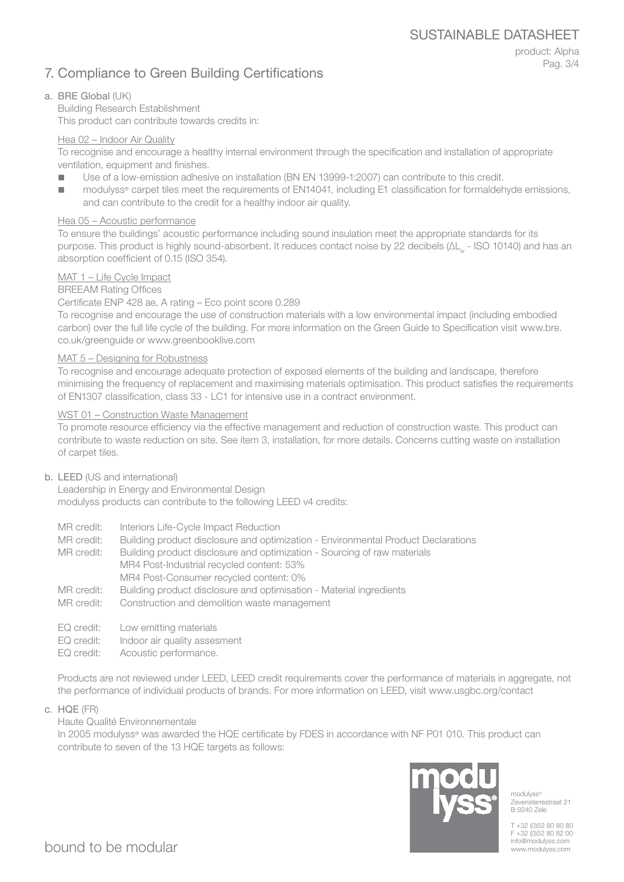# 7. Compliance to Green Building Certifications

product: Alpha Pag. 3/4

#### a. BRE Global (UK)

Building Research Establishment This product can contribute towards credits in:

#### Hea 02 – Indoor Air Quality

To recognise and encourage a healthy internal environment through the specification and installation of appropriate ventilation, equipment and finishes.

- Use of a low-emission adhesive on installation (BN EN 13999-1:2007) can contribute to this credit.
- modulyss<sup>®</sup> carpet tiles meet the requirements of EN14041, including E1 classification for formaldehyde emissions, and can contribute to the credit for a healthy indoor air quality.

#### Hea 05 – Acoustic performance

To ensure the buildings' acoustic performance including sound insulation meet the appropriate standards for its purpose. This product is highly sound-absorbent. It reduces contact noise by 22 decibels (ΔL<sub>w</sub> - ISO 10140) and has an absorption coefficient of 0.15 (ISO 354).

#### MAT 1 – Life Cycle Impact

BREEAM Rating Offices

#### Certificate ENP 428 ae, A rating – Eco point score 0.289

To recognise and encourage the use of construction materials with a low environmental impact (including embodied carbon) over the full life cycle of the building. For more information on the Green Guide to Specification visit www.bre. co.uk/greenguide or www.greenbooklive.com

#### MAT 5 – Designing for Robustness

To recognise and encourage adequate protection of exposed elements of the building and landscape, therefore minimising the frequency of replacement and maximising materials optimisation. This product satisfies the requirements of EN1307 classification, class 33 - LC1 for intensive use in a contract environment.

#### WST 01 – Construction Waste Management

To promote resource efficiency via the effective management and reduction of construction waste. This product can contribute to waste reduction on site. See item 3, installation, for more details. Concerns cutting waste on installation of carpet tiles.

#### b. LEED (US and international)

Leadership in Energy and Environmental Design modulyss products can contribute to the following LEED v4 credits:

- MR credit: Interiors Life-Cycle Impact Reduction
- MR credit: Building product disclosure and optimization Environmental Product Declarations

MR credit: Building product disclosure and optimization - Sourcing of raw materials MR4 Post-Industrial recycled content: 53% MR4 Post-Consumer recycled content: 0%

- MR credit: Building product disclosure and optimisation Material ingredients
- MR credit: Construction and demolition waste management
- EQ credit: Low emitting materials
- EQ credit: Indoor air quality assesment
- EQ credit: Acoustic performance.

Products are not reviewed under LEED, LEED credit requirements cover the performance of materials in aggregate, not the performance of individual products of brands. For more information on LEED, visit www.usgbc.org/contact

c. HQE (FR)

Haute Qualité Environnementale

In 2005 modulyss® was awarded the HQE certificate by FDES in accordance with NF P01 010. This product can contribute to seven of the 13 HQE targets as follows:



modulyss® Zevensterrestraat 21 B 9240 Zele